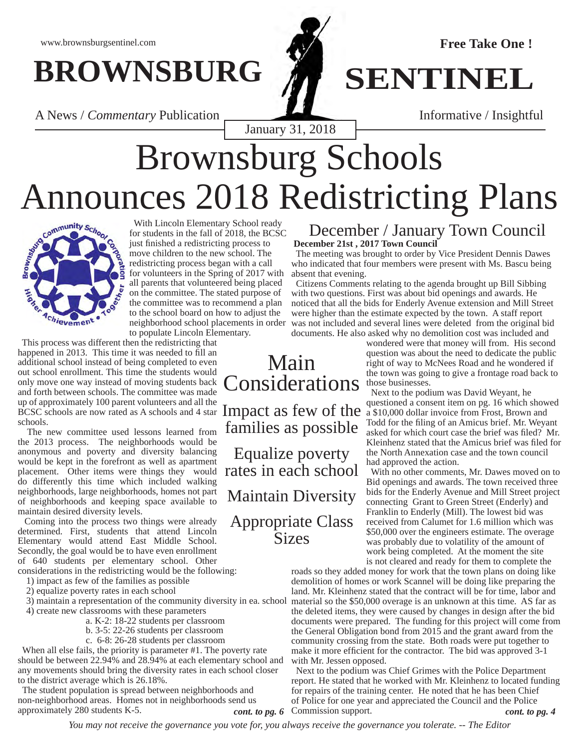# **BROWNSBURG** *N* **SENTINEL**

A News / *Commentary* Publication **Informative / Insightful** 

January 31, 2018

# Brownsburg Schools Announces 2018 Redistricting Plans



 With Lincoln Elementary School ready for students in the fall of 2018, the BCSC just finished a redistricting process to move children to the new school. The redistricting process began with a call for volunteers in the Spring of 2017 with all parents that volunteered being placed on the committee. The stated purpose of the committee was to recommend a plan to the school board on how to adjust the neighborhood school placements in order to populate Lincoln Elementary.

 This process was different then the redistricting that happened in 2013. This time it was needed to fill an additional school instead of being completed to even out school enrollment. This time the students would only move one way instead of moving students back and forth between schools. The committee was made up of approximately 100 parent volunteers and all the  $BSCSC$  schools are now rated as A schools and 4 star Impact as few of the  $\frac{1}{2}$  a \$10,000 dollar invoice from Frost, Brown and BCSC schools are now rated as A schools and 4 star Impact as few of the  $\frac{1}{2}$  a \$10,000 schools.

 The new committee used lessons learned from the 2013 process. The neighborhoods would be anonymous and poverty and diversity balancing would be kept in the forefront as well as apartment placement. Other items were things they would rates in each school do differently this time which included walking neighborhoods, large neighborhoods, homes not part of neighborhoods and keeping space available to maintain desired diversity levels.

 Coming into the process two things were already determined. First, students that attend Lincoln Elementary would attend East Middle School. Secondly, the goal would be to have even enrollment of 640 students per elementary school. Other

considerations in the redistricting would be the following:

- 1) impact as few of the families as possible
- 2) equalize poverty rates in each school
- 3) maintain a representation of the community diversity in ea. school
- 4) create new classrooms with these parameters a. K-2: 18-22 students per classroom
	- b. 3-5: 22-26 students per classroom
	- c. 6-8: 26-28 students per classroom

 When all else fails, the priority is parameter #1. The poverty rate should be between 22.94% and 28.94% at each elementary school and any movements should bring the diversity rates in each school closer to the district average which is 26.18%.

 The student population is spread between neighborhoods and non-neighborhood areas. Homes not in neighborhoods send us approximately 280 students K-5.

### **December 21st , 2017 Town Council** December / January Town Council

 The meeting was brought to order by Vice President Dennis Dawes who indicated that four members were present with Ms. Bascu being absent that evening.

 Citizens Comments relating to the agenda brought up Bill Sibbing with two questions. First was about bid openings and awards. He noticed that all the bids for Enderly Avenue extension and Mill Street were higher than the estimate expected by the town. A staff report was not included and several lines were deleted from the original bid documents. He also asked why no demolition cost was included and

wondered were that money will from. His second question was about the need to dedicate the public right of way to McNees Road and he wondered if the town was going to give a frontage road back to those businesses.

 Next to the podium was David Weyant, he questioned a consent item on pg. 16 which showed Todd for the filing of an Amicus brief. Mr. Weyant asked for which court case the brief was filed? Mr. Kleinhenz stated that the Amicus brief was filed for the North Annexation case and the town council had approved the action.

 With no other comments, Mr. Dawes moved on to Bid openings and awards. The town received three bids for the Enderly Avenue and Mill Street project connecting Grant to Green Street (Enderly) and Franklin to Enderly (Mill). The lowest bid was received from Calumet for 1.6 million which was \$50,000 over the engineers estimate. The overage was probably due to volatility of the amount of work being completed. At the moment the site is not cleared and ready for them to complete the

roads so they added money for work that the town plans on doing like demolition of homes or work Scannel will be doing like preparing the land. Mr. Kleinhenz stated that the contract will be for time, labor and material so the \$50,000 overage is an unknown at this time. AS far as the deleted items, they were caused by changes in design after the bid documents were prepared. The funding for this project will come from the General Obligation bond from 2015 and the grant award from the community crossing from the state. Both roads were put together to make it more efficient for the contractor. The bid was approved 3-1 with Mr. Jessen opposed.

 Next to the podium was Chief Grimes with the Police Department report. He stated that he worked with Mr. Kleinhenz to located funding for repairs of the training center. He noted that he has been Chief of Police for one year and appreciated the Council and the Police cont. to pg. 6 Commission support. *cont. to pg. 4*

*You may not receive the governance you vote for, you always receive the governance you tolerate. -- The Editor*

Main Considerations

families as possible

Equalize poverty Maintain Diversity Appropriate Class Sizes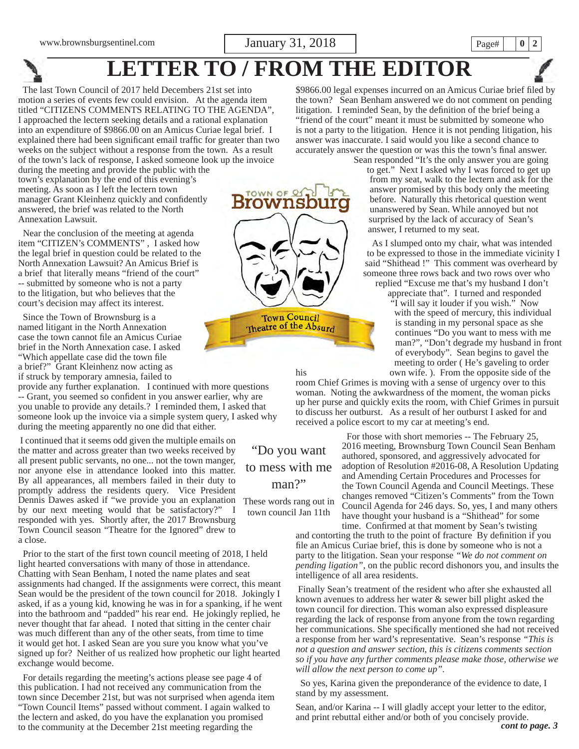**LETTER TO / FROM THE EDITOR**

 The last Town Council of 2017 held Decembers 21st set into motion a series of events few could envision. At the agenda item titled "CITIZENS COMMENTS RELATING TO THE AGENDA", I approached the lectern seeking details and a rational explanation into an expenditure of \$9866.00 on an Amicus Curiae legal brief. I explained there had been significant email traffic for greater than two weeks on the subject without a response from the town. As a result of the town's lack of response, I asked someone look up the invoice

during the meeting and provide the public with the town's explanation by the end of this evening's meeting. As soon as I left the lectern town manager Grant Kleinhenz quickly and confidently answered, the brief was related to the North Annexation Lawsuit.

 Near the conclusion of the meeting at agenda item "CITIZEN's COMMENTS" , I asked how the legal brief in question could be related to the North Annexation Lawsuit? An Amicus Brief is a brief that literally means "friend of the court" -- submitted by someone who is not a party to the litigation, but who believes that the court's decision may affect its interest.

 Since the Town of Brownsburg is a named litigant in the North Annexation case the town cannot file an Amicus Curiae brief in the North Annexation case. I asked "Which appellate case did the town file a brief?" Grant Kleinhenz now acting as if struck by temporary amnesia, failed to

provide any further explanation. I continued with more questions -- Grant, you seemed so confident in you answer earlier, why are you unable to provide any details.? I reminded them, I asked that someone look up the invoice via a simple system query, I asked why during the meeting apparently no one did that either.

 I continued that it seems odd given the multiple emails on the matter and across greater than two weeks received by all present public servants, no one... not the town manger, nor anyone else in attendance looked into this matter. By all appearances, all members failed in their duty to promptly address the residents query. Vice President Dennis Dawes asked if "we provide you an explanation These words rang out in by our next meeting would that be satisfactory?" I responded with yes. Shortly after, the 2017 Brownsburg Town Council season "Theatre for the Ignored" drew to a close.

Prior to the start of the first town council meeting of 2018, I held light hearted conversations with many of those in attendance. Chatting with Sean Benham, I noted the name plates and seat assignments had changed. If the assignments were correct, this meant Sean would be the president of the town council for 2018. Jokingly I asked, if as a young kid, knowing he was in for a spanking, if he went into the bathroom and "padded" his rear end. He jokingly replied, he never thought that far ahead. I noted that sitting in the center chair was much different than any of the other seats, from time to time it would get hot. I asked Sean are you sure you know what you've signed up for? Neither of us realized how prophetic our light hearted exchange would become.

 For details regarding the meeting's actions please see page 4 of this publication. I had not received any communication from the town since December 21st, but was not surprised when agenda item "Town Council Items" passed without comment. I again walked to the lectern and asked, do you have the explanation you promised to the community at the December 21st meeting regarding the



\$9866.00 legal expenses incurred on an Amicus Curiae brief filed by the town? Sean Benham answered we do not comment on pending litigation. I reminded Sean, by the definition of the brief being a "friend of the court" meant it must be submitted by someone who is not a party to the litigation. Hence it is not pending litigation, his answer was inaccurate. I said would you like a second chance to accurately answer the question or was this the town's final answer.

Sean responded "It's the only answer you are going to get." Next I asked why I was forced to get up from my seat, walk to the lectern and ask for the answer promised by this body only the meeting before. Naturally this rhetorical question went unanswered by Sean. While annoyed but not surprised by the lack of accuracy of Sean's answer, I returned to my seat.

 As I slumped onto my chair, what was intended to be expressed to those in the immediate vicinity I said "Shithead !" This comment was overheard by someone three rows back and two rows over who replied "Excuse me that's my husband I don't

appreciate that". I turned and responded "I will say it louder if you wish." Now with the speed of mercury, this individual is standing in my personal space as she continues "Do you want to mess with me man?", "Don't degrade my husband in front of everybody". Sean begins to gavel the meeting to order ( He's gaveling to order his own wife. ). From the opposite side of the

room Chief Grimes is moving with a sense of urgency over to this woman. Noting the awkwardness of the moment, the woman picks up her purse and quickly exits the room, with Chief Grimes in pursuit to discuss her outburst. As a result of her outburst I asked for and received a police escort to my car at meeting's end.

> For those with short memories -- The February 25, 2016 meeting, Brownsburg Town Council Sean Benham authored, sponsored, and aggressively advocated for adoption of Resolution #2016-08, A Resolution Updating and Amending Certain Procedures and Processes for the Town Council Agenda and Council Meetings. These changes removed "Citizen's Comments" from the Town Council Agenda for 246 days. So, yes, I and many others have thought your husband is a "Shithead" for some time. Confirmed at that moment by Sean's twisting

and contorting the truth to the point of fracture By definition if you file an Amicus Curiae brief, this is done by someone who is not a party to the litigation. Sean your response *"We do not comment on pending ligation"*, on the public record dishonors you, and insults the intelligence of all area residents.

 Finally Sean's treatment of the resident who after she exhausted all known avenues to address her water & sewer bill plight asked the town council for direction. This woman also expressed displeasure regarding the lack of response from anyone from the town regarding her communications. She specifically mentioned she had not received a response from her ward's representative. Sean's response *"This is not a question and answer section, this is citizens comments section so if you have any further comments please make those, otherwise we will allow the next person to come up".* 

 So yes, Karina given the preponderance of the evidence to date, I stand by my assessment.

*cont to page. 3* Sean, and/or Karina -- I will gladly accept your letter to the editor, and print rebuttal either and/or both of you concisely provide.

to mess with me man?"

"Do you want

town council Jan 11th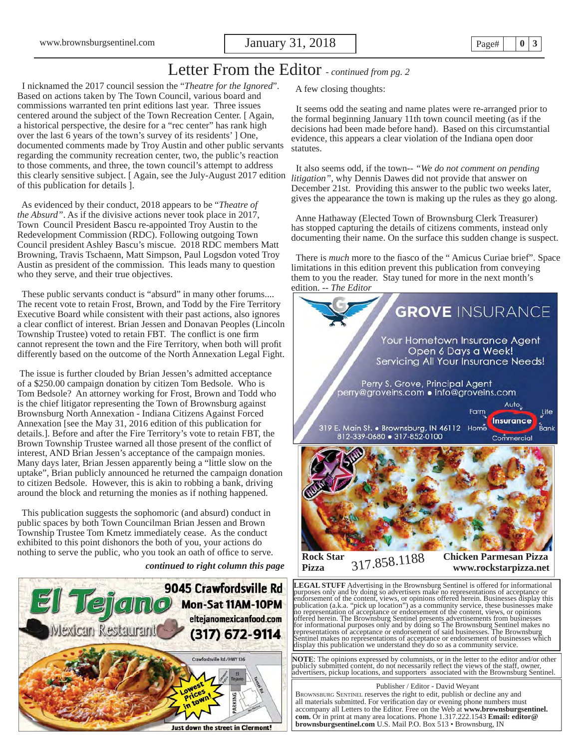## Letter From the Editor *- continued from pg. 2*

 I nicknamed the 2017 council session the "*Theatre for the Ignored*". Based on actions taken by The Town Council, various board and commissions warranted ten print editions last year. Three issues centered around the subject of the Town Recreation Center. [ Again, a historical perspective, the desire for a "rec center" has rank high over the last 6 years of the town's survey of its residents' ] One, documented comments made by Troy Austin and other public servants regarding the community recreation center, two, the public's reaction to those comments, and three, the town council's attempt to address this clearly sensitive subject. [ Again, see the July-August 2017 edition of this publication for details ].

 As evidenced by their conduct, 2018 appears to be "*Theatre of the Absurd"*. As if the divisive actions never took place in 2017, Town Council President Bascu re-appointed Troy Austin to the Redevelopment Commission (RDC). Following outgoing Town Council president Ashley Bascu's miscue. 2018 RDC members Matt Browning, Travis Tschaenn, Matt Simpson, Paul Logsdon voted Troy Austin as president of the commission. This leads many to question who they serve, and their true objectives.

 These public servants conduct is "absurd" in many other forums.... The recent vote to retain Frost, Brown, and Todd by the Fire Territory Executive Board while consistent with their past actions, also ignores a clear conflict of interest. Brian Jessen and Donavan Peoples (Lincoln Township Trustee) voted to retain FBT. The conflict is one firm cannot represent the town and the Fire Territory, when both will profit differently based on the outcome of the North Annexation Legal Fight.

 The issue is further clouded by Brian Jessen's admitted acceptance of a \$250.00 campaign donation by citizen Tom Bedsole. Who is Tom Bedsole? An attorney working for Frost, Brown and Todd who is the chief litigator representing the Town of Brownsburg against Brownsburg North Annexation - Indiana Citizens Against Forced Annexation [see the May 31, 2016 edition of this publication for details.]. Before and after the Fire Territory's vote to retain FBT, the Brown Township Trustee warned all those present of the conflict of interest, AND Brian Jessen's acceptance of the campaign monies. Many days later, Brian Jessen apparently being a "little slow on the uptake", Brian publicly announced he returned the campaign donation to citizen Bedsole. However, this is akin to robbing a bank, driving around the block and returning the monies as if nothing happened.

 This publication suggests the sophomoric (and absurd) conduct in public spaces by both Town Councilman Brian Jessen and Brown Township Trustee Tom Kmetz immediately cease. As the conduct exhibited to this point dishonors the both of you, your actions do nothing to serve the public, who you took an oath of office to serve.

*continued to right column this page*



A few closing thoughts:

 It seems odd the seating and name plates were re-arranged prior to the formal beginning January 11th town council meeting (as if the decisions had been made before hand). Based on this circumstantial evidence, this appears a clear violation of the Indiana open door statutes.

 It also seems odd, if the town-- *"We do not comment on pending litigation",* why Dennis Dawes did not provide that answer on December 21st. Providing this answer to the public two weeks later, gives the appearance the town is making up the rules as they go along.

 Anne Hathaway (Elected Town of Brownsburg Clerk Treasurer) has stopped capturing the details of citizens comments, instead only documenting their name. On the surface this sudden change is suspect.

There is *much* more to the fiasco of the "Amicus Curiae brief". Space limitations in this edition prevent this publication from conveying them to you the reader. Stay tuned for more in the next month's edition. -- *The Editor*



**LEGAL STUFF** Advertising in the Brownsburg Sentinel is offered for informational purposes only and by doing so advertisers make no representations of acceptance or the content, views, or opinions offered herein. Businesse offered herein. The Brownsburg Sentinel presents advertisements from businesses<br>for informational purposes only and by doing so The Brownsburg Sentinel makes no<br>representations of acceptance or endorsement of said business entinel makes no representations of acceptance or endorsement of businesses which display this publication we understand they do so as a community service.

**NOTE**: The opinions expressed by columnists, or in the letter to the editor and/or other publicly submitted content, do not necessarily reflect the views of the staff, owner, advertisers, pickup locations, and supporters associated with the Brownsburg Sentinel.

 Publisher / Editor - David Weyant BROWNSBURG SENTINEL reserves the right to edit, publish or decline any and all materials submitted. For verification day or evening phone numbers must accompany all Letters to the Editor. Free on the Web at **www.brownsburgsentinel. com.** Or in print at many area locations. Phone 1.317.222.1543 **Email: editor@ brownsburgsentinel.com** U.S. Mail P.O. Box 513 • Brownsburg, IN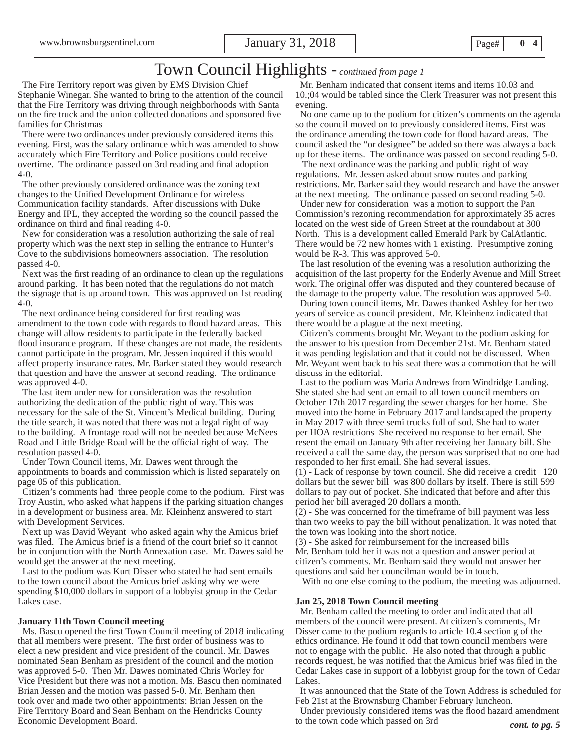## Town Council Highlights - *continued from page 1*

 The Fire Territory report was given by EMS Division Chief Stephanie Winegar. She wanted to bring to the attention of the council that the Fire Territory was driving through neighborhoods with Santa on the fire truck and the union collected donations and sponsored five families for Christmas

 There were two ordinances under previously considered items this evening. First, was the salary ordinance which was amended to show accurately which Fire Territory and Police positions could receive overtime. The ordinance passed on 3rd reading and final adoption 4-0.

 The other previously considered ordinance was the zoning text changes to the Unified Development Ordinance for wireless Communication facility standards. After discussions with Duke Energy and IPL, they accepted the wording so the council passed the ordinance on third and final reading 4-0.

 New for consideration was a resolution authorizing the sale of real property which was the next step in selling the entrance to Hunter's Cove to the subdivisions homeowners association. The resolution passed 4-0.

Next was the first reading of an ordinance to clean up the regulations around parking. It has been noted that the regulations do not match the signage that is up around town. This was approved on 1st reading 4-0.

The next ordinance being considered for first reading was amendment to the town code with regards to flood hazard areas. This change will allow residents to participate in the federally backed flood insurance program. If these changes are not made, the residents cannot participate in the program. Mr. Jessen inquired if this would affect property insurance rates. Mr. Barker stated they would research that question and have the answer at second reading. The ordinance was approved 4-0.

 The last item under new for consideration was the resolution authorizing the dedication of the public right of way. This was necessary for the sale of the St. Vincent's Medical building. During the title search, it was noted that there was not a legal right of way to the building. A frontage road will not be needed because McNees Road and Little Bridge Road will be the official right of way. The resolution passed 4-0.

 Under Town Council items, Mr. Dawes went through the appointments to boards and commission which is listed separately on page 05 of this publication.

 Citizen's comments had three people come to the podium. First was Troy Austin, who asked what happens if the parking situation changes in a development or business area. Mr. Kleinhenz answered to start with Development Services.

 Next up was David Weyant who asked again why the Amicus brief was filed. The Amicus brief is a friend of the court brief so it cannot be in conjunction with the North Annexation case. Mr. Dawes said he would get the answer at the next meeting.

 Last to the podium was Kurt Disser who stated he had sent emails to the town council about the Amicus brief asking why we were spending \$10,000 dollars in support of a lobbyist group in the Cedar Lakes case.

#### **January 11th Town Council meeting**

Ms. Bascu opened the first Town Council meeting of 2018 indicating that all members were present. The first order of business was to elect a new president and vice president of the council. Mr. Dawes nominated Sean Benham as president of the council and the motion was approved 5-0. Then Mr. Dawes nominated Chris Worley for Vice President but there was not a motion. Ms. Bascu then nominated Brian Jessen and the motion was passed 5-0. Mr. Benham then took over and made two other appointments: Brian Jessen on the Fire Territory Board and Sean Benham on the Hendricks County Economic Development Board.

 Mr. Benham indicated that consent items and items 10.03 and 10.;04 would be tabled since the Clerk Treasurer was not present this evening.

 No one came up to the podium for citizen's comments on the agenda so the council moved on to previously considered items. First was the ordinance amending the town code for flood hazard areas. The council asked the "or designee" be added so there was always a back up for these items. The ordinance was passed on second reading 5-0.

 The next ordinance was the parking and public right of way regulations. Mr. Jessen asked about snow routes and parking restrictions. Mr. Barker said they would research and have the answer at the next meeting. The ordinance passed on second reading 5-0.

 Under new for consideration was a motion to support the Pan Commission's rezoning recommendation for approximately 35 acres located on the west side of Green Street at the roundabout at 300 North. This is a development called Emerald Park by CalAtlantic. There would be 72 new homes with 1 existing. Presumptive zoning would be R-3. This was approved 5-0.

 The last resolution of the evening was a resolution authorizing the acquisition of the last property for the Enderly Avenue and Mill Street work. The original offer was disputed and they countered because of the damage to the property value. The resolution was approved 5-0.

 During town council items, Mr. Dawes thanked Ashley for her two years of service as council president. Mr. Kleinhenz indicated that there would be a plague at the next meeting.

 Citizen's comments brought Mr. Weyant to the podium asking for the answer to his question from December 21st. Mr. Benham stated it was pending legislation and that it could not be discussed. When Mr. Weyant went back to his seat there was a commotion that he will discuss in the editorial.

 Last to the podium was Maria Andrews from Windridge Landing. She stated she had sent an email to all town council members on October 17th 2017 regarding the sewer charges for her home. She moved into the home in February 2017 and landscaped the property in May 2017 with three semi trucks full of sod. She had to water per HOA restrictions She received no response to her email. She resent the email on January 9th after receiving her January bill. She received a call the same day, the person was surprised that no one had responded to her first email. She had several issues.

(1) - Lack of response by town council. She did receive a credit 120 dollars but the sewer bill was 800 dollars by itself. There is still 599 dollars to pay out of pocket. She indicated that before and after this period her bill averaged 20 dollars a month.

(2) - She was concerned for the timeframe of bill payment was less than two weeks to pay the bill without penalization. It was noted that the town was looking into the short notice.

(3) - She asked for reimbursement for the increased bills Mr. Benham told her it was not a question and answer period at citizen's comments. Mr. Benham said they would not answer her questions and said her councilman would be in touch.

With no one else coming to the podium, the meeting was adjourned.

#### **Jan 25, 2018 Town Council meeting**

 Mr. Benham called the meeting to order and indicated that all members of the council were present. At citizen's comments, Mr Disser came to the podium regards to article 10.4 section g of the ethics ordinance. He found it odd that town council members were not to engage with the public. He also noted that through a public records request, he was notified that the Amicus brief was filed in the Cedar Lakes case in support of a lobbyist group for the town of Cedar Lakes.

 It was announced that the State of the Town Address is scheduled for Feb 21st at the Brownsburg Chamber February luncheon.

Under previously considered items was the flood hazard amendment to the town code which passed on 3rd *cont. to pg. 5*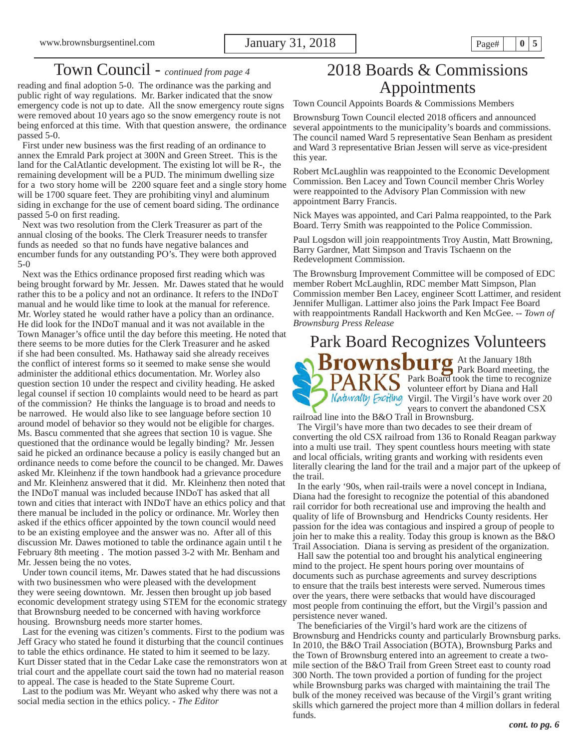## Town Council - *continued from page 4*

reading and final adoption 5-0. The ordinance was the parking and public right of way regulations. Mr. Barker indicated that the snow emergency code is not up to date. All the snow emergency route signs were removed about 10 years ago so the snow emergency route is not being enforced at this time. With that question answere, the ordinance passed 5-0.

First under new business was the first reading of an ordinance to annex the Emrald Park project at 300N and Green Street. This is the land for the CalAtlantic development. The existing lot will be R-, the remaining development will be a PUD. The minimum dwelling size for a two story home will be 2200 square feet and a single story home will be 1700 square feet. They are prohibiting vinyl and aluminum siding in exchange for the use of cement board siding. The ordinance passed 5-0 on first reading.

 Next was two resolution from the Clerk Treasurer as part of the annual closing of the books. The Clerk Treasurer needs to transfer funds as needed so that no funds have negative balances and encumber funds for any outstanding PO's. They were both approved 5-0

Next was the Ethics ordinance proposed first reading which was being brought forward by Mr. Jessen. Mr. Dawes stated that he would rather this to be a policy and not an ordinance. It refers to the INDoT manual and he would like time to look at the manual for reference. Mr. Worley stated he would rather have a policy than an ordinance. He did look for the INDoT manual and it was not available in the Town Manager's office until the day before this meeting. He noted that there seems to be more duties for the Clerk Treasurer and he asked if she had been consulted. Ms. Hathaway said she already receives the conflict of interest forms so it seemed to make sense she would administer the additional ethics documentation. Mr. Worley also question section 10 under the respect and civility heading. He asked legal counsel if section 10 complaints would need to be heard as part of the commission? He thinks the language is to broad and needs to be narrowed. He would also like to see language before section 10 around model of behavior so they would not be eligible for charges. Ms. Bascu commented that she agrees that section 10 is vague. She questioned that the ordinance would be legally binding? Mr. Jessen said he picked an ordinance because a policy is easily changed but an ordinance needs to come before the council to be changed. Mr. Dawes asked Mr. Kleinhenz if the town handbook had a grievance procedure and Mr. Kleinhenz answered that it did. Mr. Kleinhenz then noted that the INDoT manual was included because INDoT has asked that all town and cities that interact with INDoT have an ethics policy and that there manual be included in the policy or ordinance. Mr. Worley then asked if the ethics officer appointed by the town council would need to be an existing employee and the answer was no. After all of this discussion Mr. Dawes motioned to table the ordinance again until t he February 8th meeting . The motion passed 3-2 with Mr. Benham and Mr. Jessen being the no votes.

 Under town council items, Mr. Dawes stated that he had discussions with two businessmen who were pleased with the development they were seeing downtown. Mr. Jessen then brought up job based economic development strategy using STEM for the economic strategy that Brownsburg needed to be concerned with having workforce housing. Brownsburg needs more starter homes.

 Last for the evening was citizen's comments. First to the podium was Jeff Gracy who stated he found it disturbing that the council continues to table the ethics ordinance. He stated to him it seemed to be lazy. Kurt Disser stated that in the Cedar Lake case the remonstrators won at trial court and the appellate court said the town had no material reason to appeal. The case is headed to the State Supreme Court.

 Last to the podium was Mr. Weyant who asked why there was not a social media section in the ethics policy. - *The Editor*

## 2018 Boards & Commissions Appointments

Town Council Appoints Boards & Commissions Members

Brownsburg Town Council elected 2018 officers and announced several appointments to the municipality's boards and commissions. The council named Ward 5 representative Sean Benham as president and Ward 3 representative Brian Jessen will serve as vice-president this year.

Robert McLaughlin was reappointed to the Economic Development Commission. Ben Lacey and Town Council member Chris Worley were reappointed to the Advisory Plan Commission with new appointment Barry Francis.

Nick Mayes was appointed, and Cari Palma reappointed, to the Park Board. Terry Smith was reappointed to the Police Commission.

Paul Logsdon will join reappointments Troy Austin, Matt Browning, Barry Gardner, Matt Simpson and Travis Tschaenn on the Redevelopment Commission.

The Brownsburg Improvement Committee will be composed of EDC member Robert McLaughlin, RDC member Matt Simpson, Plan Commission member Ben Lacey, engineer Scott Lattimer, and resident Jennifer Mulligan. Lattimer also joins the Park Impact Fee Board with reappointments Randall Hackworth and Ken McGee. -- *Town of Brownsburg Press Release*

## Park Board Recognizes Volunteers



 The Virgil's have more than two decades to see their dream of converting the old CSX railroad from 136 to Ronald Reagan parkway into a multi use trail. They spent countless hours meeting with state and local officials, writing grants and working with residents even literally clearing the land for the trail and a major part of the upkeep of the trail.

 In the early '90s, when rail-trails were a novel concept in Indiana, Diana had the foresight to recognize the potential of this abandoned rail corridor for both recreational use and improving the health and quality of life of Brownsburg and Hendricks County residents. Her passion for the idea was contagious and inspired a group of people to join her to make this a reality. Today this group is known as the B&O Trail Association. Diana is serving as president of the organization.

 Hall saw the potential too and brought his analytical engineering mind to the project. He spent hours poring over mountains of documents such as purchase agreements and survey descriptions to ensure that the trails best interests were served. Numerous times over the years, there were setbacks that would have discouraged most people from continuing the effort, but the Virgil's passion and persistence never waned.

The beneficiaries of the Virgil's hard work are the citizens of Brownsburg and Hendricks county and particularly Brownsburg parks. In 2010, the B&O Trail Association (BOTA), Brownsburg Parks and the Town of Brownsburg entered into an agreement to create a twomile section of the B&O Trail from Green Street east to county road 300 North. The town provided a portion of funding for the project while Brownsburg parks was charged with maintaining the trail The bulk of the money received was because of the Virgil's grant writing skills which garnered the project more than 4 million dollars in federal funds.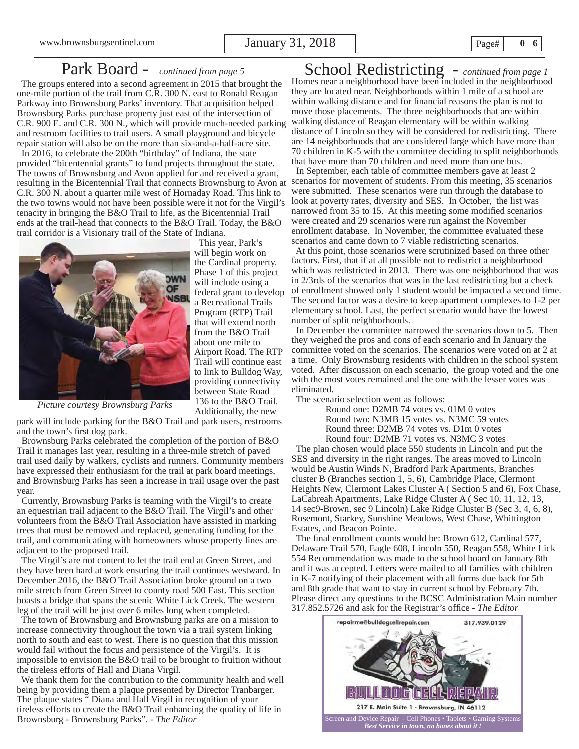## Park Board - *continued from page 5*

 The groups entered into a second agreement in 2015 that brought the one-mile portion of the trail from C.R. 300 N. east to Ronald Reagan Parkway into Brownsburg Parks' inventory. That acquisition helped Brownsburg Parks purchase property just east of the intersection of C.R. 900 E. and C.R. 300 N., which will provide much-needed parking and restroom facilities to trail users. A small playground and bicycle repair station will also be on the more than six-and-a-half-acre site.

 In 2016, to celebrate the 200th "birthday" of Indiana, the state provided "bicentennial grants" to fund projects throughout the state. The towns of Brownsburg and Avon applied for and received a grant, resulting in the Bicentennial Trail that connects Brownsburg to Avon at C.R. 300 N. about a quarter mile west of Hornaday Road. This link to the two towns would not have been possible were it not for the Virgil's tenacity in bringing the B&O Trail to life, as the Bicentennial Trail ends at the trail-head that connects to the B&O Trail. Today, the B&O trail corridor is a Visionary trail of the State of Indiana.



 This year, Park's will begin work on the Cardinal property. Phase 1 of this project will include using a federal grant to develop a Recreational Trails Program (RTP) Trail that will extend north from the B&O Trail about one mile to Airport Road. The RTP Trail will continue east to link to Bulldog Way, providing connectivity between State Road 136 to the B&O Trail. Additionally, the new

*Picture courtesy Brownsburg Parks*

park will include parking for the B&O Trail and park users, restrooms and the town's first dog park.

 Brownsburg Parks celebrated the completion of the portion of B&O Trail it manages last year, resulting in a three-mile stretch of paved trail used daily by walkers, cyclists and runners. Community members have expressed their enthusiasm for the trail at park board meetings, and Brownsburg Parks has seen a increase in trail usage over the past year.

 Currently, Brownsburg Parks is teaming with the Virgil's to create an equestrian trail adjacent to the B&O Trail. The Virgil's and other volunteers from the B&O Trail Association have assisted in marking trees that must be removed and replaced, generating funding for the trail, and communicating with homeowners whose property lines are adjacent to the proposed trail.

 The Virgil's are not content to let the trail end at Green Street, and they have been hard at work ensuring the trail continues westward. In December 2016, the B&O Trail Association broke ground on a two mile stretch from Green Street to county road 500 East. This section boasts a bridge that spans the scenic White Lick Creek. The western leg of the trail will be just over 6 miles long when completed.

 The town of Brownsburg and Brownsburg parks are on a mission to increase connectivity throughout the town via a trail system linking north to south and east to west. There is no question that this mission would fail without the focus and persistence of the Virgil's. It is impossible to envision the B&O trail to be brought to fruition without the tireless efforts of Hall and Diana Virgil.

 We thank them for the contribution to the community health and well being by providing them a plaque presented by Director Tranbarger. The plaque states " Diana and Hall Virgil in recognition of your tireless efforts to create the B&O Trail enhancing the quality of life in Brownsburg - Brownsburg Parks". - *The Editor*

School Redistricting - *continued from page 1*  Homes near a neighborhood have been included in the neighborhood they are located near. Neighborhoods within 1 mile of a school are within walking distance and for financial reasons the plan is not to move those placements. The three neighborhoods that are within walking distance of Reagan elementary will be within walking distance of Lincoln so they will be considered for redistricting. There are 14 neighborhoods that are considered large which have more than 70 children in K-5 with the committee deciding to split neighborhoods that have more than 70 children and need more than one bus.

 In September, each table of committee members gave at least 2 scenarios for movement of students. From this meeting, 35 scenarios were submitted. These scenarios were run through the database to look at poverty rates, diversity and SES. In October, the list was narrowed from 35 to 15. At this meeting some modified scenarios were created and 29 scenarios were run against the November enrollment database. In November, the committee evaluated these scenarios and came down to 7 viable redistricting scenarios.

 At this point, those scenarios were scrutinized based on three other factors. First, that if at all possible not to redistrict a neighborhood which was redistricted in 2013. There was one neighborhood that was in 2/3rds of the scenarios that was in the last redistricting but a check of enrollment showed only 1 student would be impacted a second time. The second factor was a desire to keep apartment complexes to 1-2 per elementary school. Last, the perfect scenario would have the lowest number of split neighborhoods.

 In December the committee narrowed the scenarios down to 5. Then they weighed the pros and cons of each scenario and In January the committee voted on the scenarios. The scenarios were voted on at 2 at a time. Only Brownsburg residents with children in the school system voted. After discussion on each scenario, the group voted and the one with the most votes remained and the one with the lesser votes was eliminated.

The scenario selection went as follows:

Round one: D2MB 74 votes vs. 01M 0 votes Round two: N3MB 15 votes vs. N3MC 59 votes Round three: D2MB 74 votes vs. D1m 0 votes Round four: D2MB 71 votes vs. N3MC 3 votes

 The plan chosen would place 550 students in Lincoln and put the SES and diversity in the right ranges. The areas moved to Lincoln would be Austin Winds N, Bradford Park Apartments, Branches cluster B (Branches section 1, 5, 6), Cambridge Place, Clermont Heights New, Clermont Lakes Cluster A ( Section 5 and 6), Fox Chase, LaCabreah Apartments, Lake Ridge Cluster A ( Sec 10, 11, 12, 13, 14 sec9-Brown, sec 9 Lincoln) Lake Ridge Cluster B (Sec 3, 4, 6, 8), Rosemont, Starkey, Sunshine Meadows, West Chase, Whittington Estates, and Beacon Pointe.

The final enrollment counts would be: Brown 612, Cardinal 577, Delaware Trail 570, Eagle 608, Lincoln 550, Reagan 558, White Lick 554 Recommendation was made to the school board on January 8th and it was accepted. Letters were mailed to all families with children in K-7 notifying of their placement with all forms due back for 5th and 8th grade that want to stay in current school by February 7th. Please direct any questions to the BCSC Administration Main number 317.852.5726 and ask for the Registrar's office - *The Editor* 

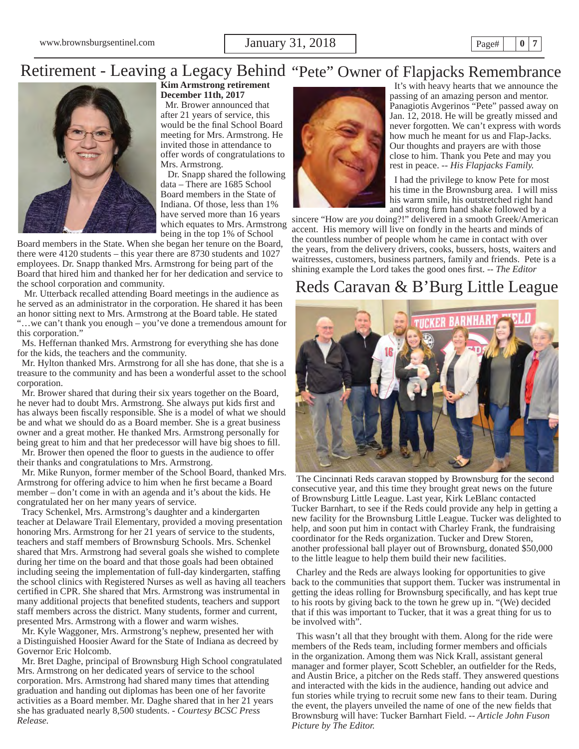www.brownsburgsentinel.com **January 31, 2018 Page**  $\vert$  **Page**  $\vert$  **| 0 | 7** 

## Retirement - Leaving a Legacy Behind "Pete" Owner of Flapjacks Remembrance



### **Kim Armstrong retirement December 11th, 2017**

 Mr. Brower announced that after 21 years of service, this would be the final School Board meeting for Mrs. Armstrong. He invited those in attendance to offer words of congratulations to Mrs. Armstrong.

 Dr. Snapp shared the following data – There are 1685 School Board members in the State of Indiana. Of those, less than 1% have served more than 16 years which equates to Mrs. Armstrong being in the top 1% of School

Board members in the State. When she began her tenure on the Board, there were 4120 students – this year there are 8730 students and 1027 employees. Dr. Snapp thanked Mrs. Armstrong for being part of the Board that hired him and thanked her for her dedication and service to the school corporation and community.

 Mr. Utterback recalled attending Board meetings in the audience as he served as an administrator in the corporation. He shared it has been an honor sitting next to Mrs. Armstrong at the Board table. He stated "…we can't thank you enough – you've done a tremendous amount for this corporation."

 Ms. Heffernan thanked Mrs. Armstrong for everything she has done for the kids, the teachers and the community.

 Mr. Hylton thanked Mrs. Armstrong for all she has done, that she is a treasure to the community and has been a wonderful asset to the school corporation.

 Mr. Brower shared that during their six years together on the Board, he never had to doubt Mrs. Armstrong. She always put kids first and has always been fiscally responsible. She is a model of what we should be and what we should do as a Board member. She is a great business owner and a great mother. He thanked Mrs. Armstrong personally for being great to him and that her predecessor will have big shoes to fill.

Mr. Brower then opened the floor to guests in the audience to offer their thanks and congratulations to Mrs. Armstrong.

 Mr. Mike Runyon, former member of the School Board, thanked Mrs. Armstrong for offering advice to him when he first became a Board member – don't come in with an agenda and it's about the kids. He congratulated her on her many years of service.

 Tracy Schenkel, Mrs. Armstrong's daughter and a kindergarten teacher at Delaware Trail Elementary, provided a moving presentation honoring Mrs. Armstrong for her 21 years of service to the students, teachers and staff members of Brownsburg Schools. Mrs. Schenkel shared that Mrs. Armstrong had several goals she wished to complete during her time on the board and that those goals had been obtained including seeing the implementation of full-day kindergarten, staffing the school clinics with Registered Nurses as well as having all teachers certified in CPR. She shared that Mrs. Armstrong was instrumental in many additional projects that benefited students, teachers and support staff members across the district. Many students, former and current, presented Mrs. Armstrong with a flower and warm wishes.

 Mr. Kyle Waggoner, Mrs. Armstrong's nephew, presented her with a Distinguished Hoosier Award for the State of Indiana as decreed by Governor Eric Holcomb.

 Mr. Bret Daghe, principal of Brownsburg High School congratulated Mrs. Armstrong on her dedicated years of service to the school corporation. Mrs. Armstrong had shared many times that attending graduation and handing out diplomas has been one of her favorite activities as a Board member. Mr. Daghe shared that in her 21 years she has graduated nearly 8,500 students. - *Courtesy BCSC Press Release.*



 It's with heavy hearts that we announce the passing of an amazing person and mentor. Panagiotis Avgerinos "Pete" passed away on Jan. 12, 2018. He will be greatly missed and never forgotten. We can't express with words how much he meant for us and Flap-Jacks. Our thoughts and prayers are with those close to him. Thank you Pete and may you rest in peace. -- *His Flapjacks Family.*

 I had the privilege to know Pete for most his time in the Brownsburg area. I will miss his warm smile, his outstretched right hand and strong firm hand shake followed by a

sincere "How are *you* doing?!" delivered in a smooth Greek/American accent. His memory will live on fondly in the hearts and minds of the countless number of people whom he came in contact with over the years, from the delivery drivers, cooks, bussers, hosts, waiters and waitresses, customers, business partners, family and friends. Pete is a shining example the Lord takes the good ones first. -- *The Editor* 

## Reds Caravan & B'Burg Little League



 The Cincinnati Reds caravan stopped by Brownsburg for the second consecutive year, and this time they brought great news on the future of Brownsburg Little League. Last year, Kirk LeBlanc contacted Tucker Barnhart, to see if the Reds could provide any help in getting a new facility for the Brownsburg Little League. Tucker was delighted to help, and soon put him in contact with Charley Frank, the fundraising coordinator for the Reds organization. Tucker and Drew Storen, another professional ball player out of Brownsburg, donated \$50,000 to the little league to help them build their new facilities.

 Charley and the Reds are always looking for opportunities to give back to the communities that support them. Tucker was instrumental in getting the ideas rolling for Brownsburg specifically, and has kept true to his roots by giving back to the town he grew up in. "(We) decided that if this was important to Tucker, that it was a great thing for us to be involved with".

 This wasn't all that they brought with them. Along for the ride were members of the Reds team, including former members and officials in the organization. Among them was Nick Krall, assistant general manager and former player, Scott Schebler, an outfielder for the Reds, and Austin Brice, a pitcher on the Reds staff. They answered questions and interacted with the kids in the audience, handing out advice and fun stories while trying to recruit some new fans to their team. During the event, the players unveiled the name of one of the new fields that Brownsburg will have: Tucker Barnhart Field. -- *Article John Fuson Picture by The Editor.*